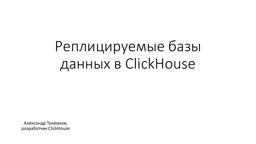Реплицируемые базы данных в ClickHouse

Александр Токмаков, разработчик ClickHouse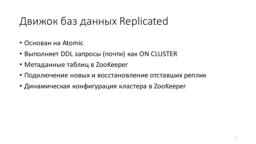# Движок баз данных Replicated

- Основан на Atomic
- Выполняет DDL запросы (почти) как ON CLUSTER
- Метаданные таблиц в ZooKeeper
- Подключение новых и восстановление отставших реплик
- Динамическая конфигурация кластера в ZooKeeper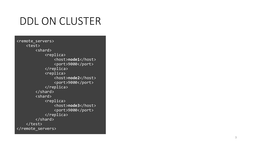<remote\_servers> <test> <shard> <replica> <host>**node1**</host> <port>9000</port> </replica> <replica> <host>**node2**</host> <port>9000</port> </replica> </shard> <shard> <replica> <host>**node3**</host> <port>9000</port> </replica>  $\langle$ /shard> </test> </remote\_servers>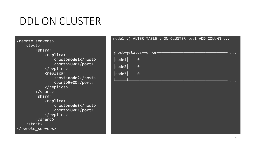<remote\_servers> <test> <shard> <replica> <host>**node1**</host> <port>9000</port> </replica> <replica> <host>**node2**</host> <port>9000</port> </replica> </shard> <shard> <replica> <host>**node3**</host> <port>9000</port> </replica>  $\langle$ /shard> </test> </remote\_servers>

| node1 :) ALTER TABLE t ON CLUSTER test ADD COLUMN |  |  |  |  |  |
|---------------------------------------------------|--|--|--|--|--|
|                                                   |  |  |  |  |  |
| rhost-rstatus <sub>T</sub> error-                 |  |  |  |  |  |
| $ node1 $ 0                                       |  |  |  |  |  |
| $ node2 $ 0 $ $                                   |  |  |  |  |  |
| $\sqrt{\log 3}$ 0                                 |  |  |  |  |  |
|                                                   |  |  |  |  |  |
|                                                   |  |  |  |  |  |
|                                                   |  |  |  |  |  |
|                                                   |  |  |  |  |  |
|                                                   |  |  |  |  |  |
|                                                   |  |  |  |  |  |
|                                                   |  |  |  |  |  |
|                                                   |  |  |  |  |  |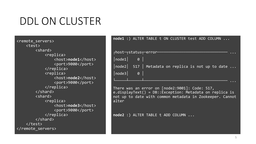<remote\_servers> <test> <shard> <replica> <host>**node1**</host> <port>9000</port> </replica> <replica> <host>**node2**</host> <port>9000</port> </replica> </shard> <shard> <replica> <host>**node3**</host> <port>9000</port> </replica> </shard> </test> </remote\_servers>

| node1 :) ALTER TABLE t ON CLUSTER test ADD COLUMN                                                                                                                                |
|----------------------------------------------------------------------------------------------------------------------------------------------------------------------------------|
|                                                                                                                                                                                  |
| rhost-rstatus <del>r-</del> error-                                                                                                                                               |
| $ node1 $ 0                                                                                                                                                                      |
| $\lceil$ node2 $\rceil$ 517 $\lceil$ Metadata on replica is not up to date $\ldots$                                                                                              |
| $ node3 $ 0 $ $                                                                                                                                                                  |
|                                                                                                                                                                                  |
| There was an error on [node2:9001]: Code: 517,<br>$e.displayText() = DB::Exception: Metalata on replica is$<br>not up to date with common metadata in Zookeeper. Cannot<br>alter |

**node2** :) ALTER TABLE t ADD COLUMN ...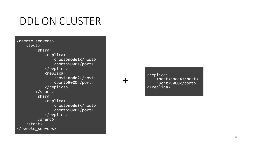<remote\_servers> <test> <shard> <replica> <host>**node1**</host> <port>9000</port> </replica> <replica> <host>**node2**</host> <port>9000</port> </replica> </shard> <shard> <replica> <host>**node3**</host> <port>9000</port> </replica> </shard> </test> </remote\_servers>

**+**

<replica> <host>node4</host> <port>9000</port> </replica>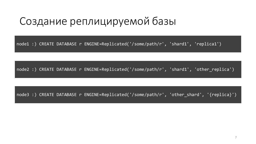## Создание реплицируемой базы

node1 :) CREATE DATABASE r ENGINE=Replicated('/some/path/r', 'shard1', 'replica1')

node2 :) CREATE DATABASE r ENGINE=Replicated('/some/path/r', 'shard1', 'other\_replica')

node3 :) CREATE DATABASE r ENGINE=Replicated('/some/path/r', 'other\_shard', '{replica}')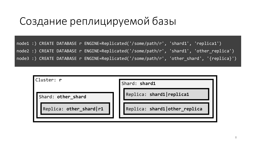## Создание реплицируемой базы

node1 :) CREATE DATABASE r ENGINE=Replicated('/some/path/r', 'shard1', 'replica1') node2 :) CREATE DATABASE r ENGINE=Replicated('/some/path/r', 'shard1', 'other\_replica') node3 :) CREATE DATABASE r ENGINE=Replicated('/some/path/r', 'other\_shard', '{replica}')

| Cluster: <b>r</b>       | Shard: shard1                 |
|-------------------------|-------------------------------|
| Shard: other_shard      | Replica: shard1   replica1    |
| Replica: other_shard r1 | Replica: shard1 other_replica |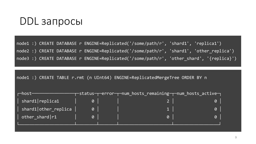node1 :) CREATE DATABASE r ENGINE=Replicated('/some/path/r', 'shard1', 'replica1') node2 :) CREATE DATABASE r ENGINE=Replicated('/some/path/r', 'shard1', 'other\_replica') node3 :) CREATE DATABASE r ENGINE=Replicated('/some/path/r', 'other\_shard', '{replica}')

node1 :) CREATE TABLE r.rmt (n UInt64) ENGINE=ReplicatedMergeTree ORDER BY n

| $r$ -host $-$                   |                       | $-$ status $\neg$ $\neg$ error $\neg\neg$ num_hosts_remaining $\neg\neg$ num_hosts_active $\neg$ . |          |  |
|---------------------------------|-----------------------|----------------------------------------------------------------------------------------------------|----------|--|
| $\vert$ shard1 $\vert$ replica1 |                       |                                                                                                    |          |  |
| shard1 other_replica            | $\theta$              |                                                                                                    | $\Theta$ |  |
| $\vert$ other_shard   r1        | $\boldsymbol{\theta}$ | $\theta$                                                                                           | 0        |  |
|                                 |                       |                                                                                                    |          |  |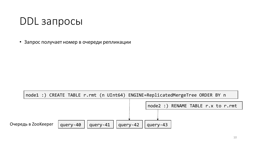• Запрос получает номер в очереди репликации

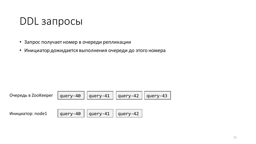- Запрос получает номер в очереди репликации
- Инициатор дожидается выполнения очереди до этого номера

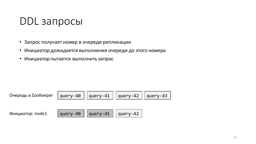- Запрос получает номер в очереди репликации
- Инициатор дожидается выполнения очереди до этого номера
- Инициатор пытается выполнить запрос

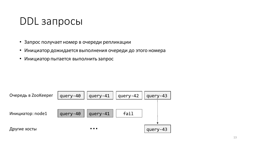- Запрос получает номер в очереди репликации
- Инициатор дожидается выполнения очереди до этого номера
- Инициатор пытается выполнить запрос

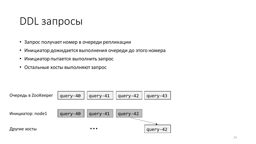- Запрос получает номер в очереди репликации
- Инициатор дожидается выполнения очереди до этого номера
- Инициатор пытается выполнить запрос
- Остальные хосты выполняют запрос

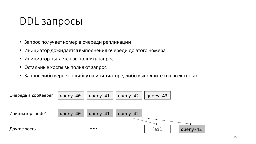- Запрос получает номер в очереди репликации
- Инициатор дожидается выполнения очереди до этого номера
- Инициатор пытается выполнить запрос
- Остальные хосты выполняют запрос
- Запрос либо вернёт ошибку на инициаторе, либо выполнится на всех хостах

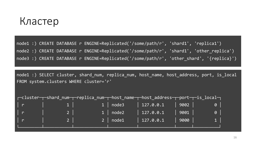#### Кластер

node1 :) CREATE DATABASE r ENGINE=Replicated('/some/path/r', 'shard1', 'replica1') node2 :) CREATE DATABASE r ENGINE=Replicated('/some/path/r', 'shard1', 'other\_replica') node3 :) CREATE DATABASE r ENGINE=Replicated('/some/path/r', 'other\_shard', '{replica}')

node1 :) SELECT cluster, shard\_num, replica\_num, host\_name, host\_address, port, is\_local FROM system.clusters WHERE cluster='r'

|              |                |                 | r-cluster-r-shard_num-r-replica_num-r-host_name-r-host_address-r-port-r-is_local- |      |                |
|--------------|----------------|-----------------|-----------------------------------------------------------------------------------|------|----------------|
| $\mathsf{r}$ | $1 \mid$       | $1 \vert$ node3 | 127.0.0.1                                                                         | 9002 | $\theta$       |
| $\mathsf{r}$ | $2 \mid$       | $1 \mid node2$  | $127.0.0.1$                                                                       | 9001 | $\theta$       |
| $\mathsf{I}$ | 2 <sup>1</sup> | $2 \mid node1$  | 127.0.0.1                                                                         | 9000 | 1 <sub>1</sub> |
|              |                |                 |                                                                                   |      |                |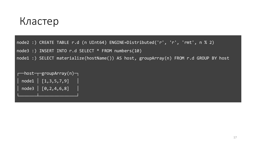#### Кластер

node2 :) CREATE TABLE r.d (n UInt64) ENGINE=Distributed('r', 'r', 'rmt', n % 2)

node3 :) INSERT INTO r.d SELECT \* FROM numbers(10)

node1 :) SELECT materialize(hostName()) AS host, groupArray(n) FROM r.d GROUP BY host

┌──host─┬─groupArray(n)─┐  $model \mid [1,3,5,7,9]$  $\textsf{node3} \mid [0, 2, 4, 6, 8]$ └───────┴───────────────┘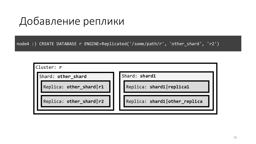## Добавление реплики

node4 :) CREATE DATABASE r ENGINE=Replicated('/some/path/r', 'other\_shard', 'r2')

Cluster: **r** Shard: other\_shard **Shard: Shard1** Replica: **other\_shard|r1** Replica: **shard1|replica1** Replica: **other\_shard|r2** Replica: **shard1|other\_replica**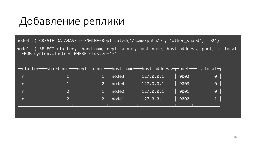## Добавление реплики

node4 :) CREATE DATABASE r ENGINE=Replicated('/some/path/r', 'other\_shard', 'r2') node1 :) SELECT cluster, shard\_num, replica\_num, host\_name, host\_address, port, is\_local

FROM system.clusters WHERE cluster='r'

|                |                |                  | r-cluster-r-shard_num-r-replica_num-r-host_name-r-host_address-r-port-r-is_local- |      |                |
|----------------|----------------|------------------|-----------------------------------------------------------------------------------|------|----------------|
| $\mathsf{I}$ r |                | $1 \mid node3$   | 127.0.0.1                                                                         | 9002 | $\theta$       |
| $\mathsf{r}$   | $1 \vert$      | $\sqrt{2}$ node4 | $127.0.0.1$                                                                       | 9003 | $\theta$       |
| $\mathsf{r}$   | 2 <sup>1</sup> | 1   node2        | $127.0.0.1$                                                                       | 9001 | $\theta$       |
| $\mathsf{r}$   | $2-1$          | $ 2 $ node1      | 127.0.0.1                                                                         | 9000 | 1 <sup>1</sup> |
|                |                |                  |                                                                                   |      |                |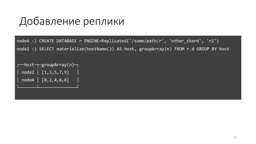## Добавление реплики

node4 :) CREATE DATABASE r ENGINE=Replicated('/some/path/r', 'other\_shard', 'r2') node2 :) SELECT materialize(hostName()) AS host, groupArray(n) FROM r.d GROUP BY host

─host─┬─groupArray(n)─┐  $\boxed{\sqrt{1,3,5,7,9}}$  $node4 \mid [0, 2, 4, 6, 8]$ └───────┴───────────────┘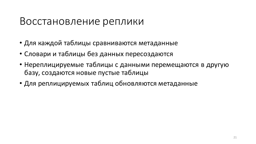#### Восстановление реплики

- Для каждой таблицы сравниваются метаданные
- Словари и таблицы без данных пересоздаются
- Нереплицируемые таблицы с данными перемещаются в другую базу, создаются новые пустые таблицы
- Для реплицируемых таблиц обновляются метаданные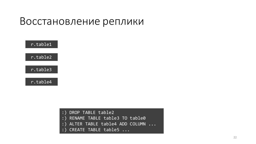#### Восстановление реплики



|  | :) DROP TABLE table2 |
|--|----------------------|
|  |                      |

- :) RENAME TABLE table3 TO table0
- :) ALTER TABLE table4 ADD COLUMN ...
- :) CREATE TABLE table5 ...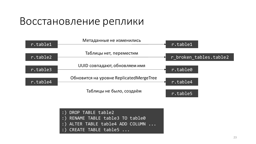## Восстановление реплики

| r.table1 | Метаданные не изменились                | $\overline{r.table1}$  |
|----------|-----------------------------------------|------------------------|
| r.table2 | Таблицы нет, переместим                 | r broken tables.table2 |
| r.table3 | UUID совпадают, обновляем имя           | r.table0               |
| r.table4 | Обновится на уровне ReplicatedMergeTree | r.table4               |
|          | Таблицы не было, создаём                | r.table5               |

| :) DROP TABLE table2             |  |
|----------------------------------|--|
| :) RENAME TABLE table3 TO table0 |  |
| :) ALTER TABLE table4 ADD COLUMN |  |
| $:$ CREATE TABLE table5 $\ldots$ |  |